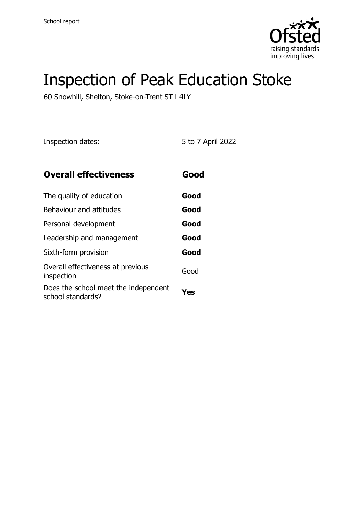

# Inspection of Peak Education Stoke

60 Snowhill, Shelton, Stoke-on-Trent ST1 4LY

Inspection dates: 5 to 7 April 2022

| <b>Overall effectiveness</b>                              | Good |
|-----------------------------------------------------------|------|
| The quality of education                                  | Good |
| Behaviour and attitudes                                   | Good |
| Personal development                                      | Good |
| Leadership and management                                 | Good |
| Sixth-form provision                                      | Good |
| Overall effectiveness at previous<br>inspection           | Good |
| Does the school meet the independent<br>school standards? | Yes  |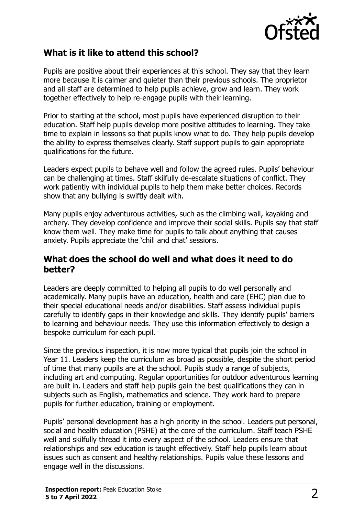

#### **What is it like to attend this school?**

Pupils are positive about their experiences at this school. They say that they learn more because it is calmer and quieter than their previous schools. The proprietor and all staff are determined to help pupils achieve, grow and learn. They work together effectively to help re-engage pupils with their learning.

Prior to starting at the school, most pupils have experienced disruption to their education. Staff help pupils develop more positive attitudes to learning. They take time to explain in lessons so that pupils know what to do. They help pupils develop the ability to express themselves clearly. Staff support pupils to gain appropriate qualifications for the future.

Leaders expect pupils to behave well and follow the agreed rules. Pupils' behaviour can be challenging at times. Staff skilfully de-escalate situations of conflict. They work patiently with individual pupils to help them make better choices. Records show that any bullying is swiftly dealt with.

Many pupils enjoy adventurous activities, such as the climbing wall, kayaking and archery. They develop confidence and improve their social skills. Pupils say that staff know them well. They make time for pupils to talk about anything that causes anxiety. Pupils appreciate the 'chill and chat' sessions.

#### **What does the school do well and what does it need to do better?**

Leaders are deeply committed to helping all pupils to do well personally and academically. Many pupils have an education, health and care (EHC) plan due to their special educational needs and/or disabilities. Staff assess individual pupils carefully to identify gaps in their knowledge and skills. They identify pupils' barriers to learning and behaviour needs. They use this information effectively to design a bespoke curriculum for each pupil.

Since the previous inspection, it is now more typical that pupils join the school in Year 11. Leaders keep the curriculum as broad as possible, despite the short period of time that many pupils are at the school. Pupils study a range of subjects, including art and computing. Regular opportunities for outdoor adventurous learning are built in. Leaders and staff help pupils gain the best qualifications they can in subjects such as English, mathematics and science. They work hard to prepare pupils for further education, training or employment.

Pupils' personal development has a high priority in the school. Leaders put personal, social and health education (PSHE) at the core of the curriculum. Staff teach PSHE well and skilfully thread it into every aspect of the school. Leaders ensure that relationships and sex education is taught effectively. Staff help pupils learn about issues such as consent and healthy relationships. Pupils value these lessons and engage well in the discussions.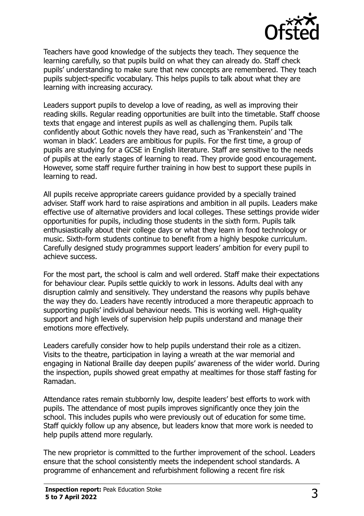

Teachers have good knowledge of the subjects they teach. They sequence the learning carefully, so that pupils build on what they can already do. Staff check pupils' understanding to make sure that new concepts are remembered. They teach pupils subject-specific vocabulary. This helps pupils to talk about what they are learning with increasing accuracy.

Leaders support pupils to develop a love of reading, as well as improving their reading skills. Regular reading opportunities are built into the timetable. Staff choose texts that engage and interest pupils as well as challenging them. Pupils talk confidently about Gothic novels they have read, such as 'Frankenstein' and 'The woman in black'. Leaders are ambitious for pupils. For the first time, a group of pupils are studying for a GCSE in English literature. Staff are sensitive to the needs of pupils at the early stages of learning to read. They provide good encouragement. However, some staff require further training in how best to support these pupils in learning to read.

All pupils receive appropriate careers guidance provided by a specially trained adviser. Staff work hard to raise aspirations and ambition in all pupils. Leaders make effective use of alternative providers and local colleges. These settings provide wider opportunities for pupils, including those students in the sixth form. Pupils talk enthusiastically about their college days or what they learn in food technology or music. Sixth-form students continue to benefit from a highly bespoke curriculum. Carefully designed study programmes support leaders' ambition for every pupil to achieve success.

For the most part, the school is calm and well ordered. Staff make their expectations for behaviour clear. Pupils settle quickly to work in lessons. Adults deal with any disruption calmly and sensitively. They understand the reasons why pupils behave the way they do. Leaders have recently introduced a more therapeutic approach to supporting pupils' individual behaviour needs. This is working well. High-quality support and high levels of supervision help pupils understand and manage their emotions more effectively.

Leaders carefully consider how to help pupils understand their role as a citizen. Visits to the theatre, participation in laying a wreath at the war memorial and engaging in National Braille day deepen pupils' awareness of the wider world. During the inspection, pupils showed great empathy at mealtimes for those staff fasting for Ramadan.

Attendance rates remain stubbornly low, despite leaders' best efforts to work with pupils. The attendance of most pupils improves significantly once they join the school. This includes pupils who were previously out of education for some time. Staff quickly follow up any absence, but leaders know that more work is needed to help pupils attend more regularly.

The new proprietor is committed to the further improvement of the school. Leaders ensure that the school consistently meets the independent school standards. A programme of enhancement and refurbishment following a recent fire risk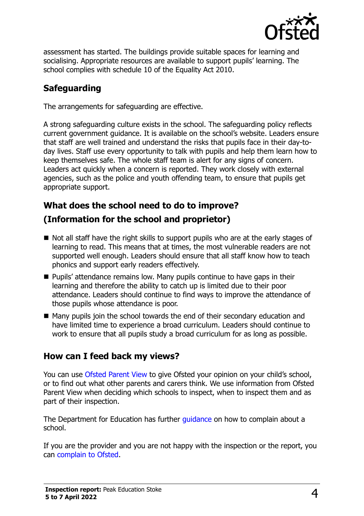

assessment has started. The buildings provide suitable spaces for learning and socialising. Appropriate resources are available to support pupils' learning. The school complies with schedule 10 of the Equality Act 2010.

# **Safeguarding**

The arrangements for safeguarding are effective.

A strong safeguarding culture exists in the school. The safeguarding policy reflects current government guidance. It is available on the school's website. Leaders ensure that staff are well trained and understand the risks that pupils face in their day-today lives. Staff use every opportunity to talk with pupils and help them learn how to keep themselves safe. The whole staff team is alert for any signs of concern. Leaders act quickly when a concern is reported. They work closely with external agencies, such as the police and youth offending team, to ensure that pupils get appropriate support.

# **What does the school need to do to improve?**

# **(Information for the school and proprietor)**

- $\blacksquare$  Not all staff have the right skills to support pupils who are at the early stages of learning to read. This means that at times, the most vulnerable readers are not supported well enough. Leaders should ensure that all staff know how to teach phonics and support early readers effectively.
- Pupils' attendance remains low. Many pupils continue to have gaps in their learning and therefore the ability to catch up is limited due to their poor attendance. Leaders should continue to find ways to improve the attendance of those pupils whose attendance is poor.
- Many pupils join the school towards the end of their secondary education and have limited time to experience a broad curriculum. Leaders should continue to work to ensure that all pupils study a broad curriculum for as long as possible.

# **How can I feed back my views?**

You can use [Ofsted Parent View](http://parentview.ofsted.gov.uk/) to give Ofsted your opinion on your child's school, or to find out what other parents and carers think. We use information from Ofsted Parent View when deciding which schools to inspect, when to inspect them and as part of their inspection.

The Department for Education has further quidance on how to complain about a school.

If you are the provider and you are not happy with the inspection or the report, you can [complain to Ofsted.](http://www.gov.uk/complain-ofsted-report)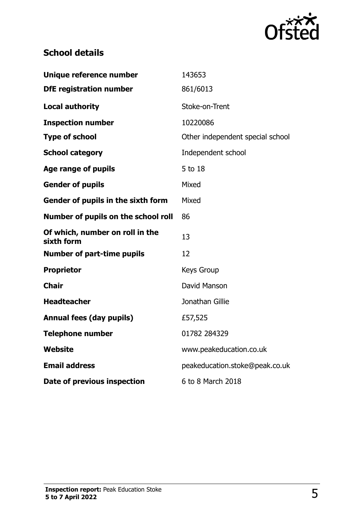

# **School details**

| Unique reference number                       | 143653                           |  |
|-----------------------------------------------|----------------------------------|--|
| <b>DfE registration number</b>                | 861/6013                         |  |
| <b>Local authority</b>                        | Stoke-on-Trent                   |  |
| <b>Inspection number</b>                      | 10220086                         |  |
| <b>Type of school</b>                         | Other independent special school |  |
| <b>School category</b>                        | Independent school               |  |
| <b>Age range of pupils</b>                    | 5 to 18                          |  |
| <b>Gender of pupils</b>                       | Mixed                            |  |
| Gender of pupils in the sixth form            | Mixed                            |  |
| Number of pupils on the school roll           | 86                               |  |
| Of which, number on roll in the<br>sixth form | 13                               |  |
| <b>Number of part-time pupils</b>             | 12                               |  |
| <b>Proprietor</b>                             | <b>Keys Group</b>                |  |
| <b>Chair</b>                                  | David Manson                     |  |
| <b>Headteacher</b>                            | Jonathan Gillie                  |  |
| <b>Annual fees (day pupils)</b>               | £57,525                          |  |
| <b>Telephone number</b>                       | 01782 284329                     |  |
| Website                                       | www.peakeducation.co.uk          |  |
| <b>Email address</b>                          | peakeducation.stoke@peak.co.uk   |  |
| Date of previous inspection                   | 6 to 8 March 2018                |  |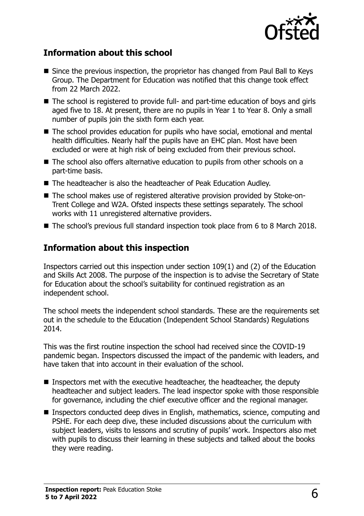

#### **Information about this school**

- Since the previous inspection, the proprietor has changed from Paul Ball to Keys Group. The Department for Education was notified that this change took effect from 22 March 2022.
- The school is registered to provide full- and part-time education of boys and girls aged five to 18. At present, there are no pupils in Year 1 to Year 8. Only a small number of pupils join the sixth form each year.
- The school provides education for pupils who have social, emotional and mental health difficulties. Nearly half the pupils have an EHC plan. Most have been excluded or were at high risk of being excluded from their previous school.
- The school also offers alternative education to pupils from other schools on a part-time basis.
- The headteacher is also the headteacher of Peak Education Audley.
- The school makes use of registered alterative provision provided by Stoke-on-Trent College and W2A. Ofsted inspects these settings separately. The school works with 11 unregistered alternative providers.
- The school's previous full standard inspection took place from 6 to 8 March 2018.

#### **Information about this inspection**

Inspectors carried out this inspection under section 109(1) and (2) of the Education and Skills Act 2008. The purpose of the inspection is to advise the Secretary of State for Education about the school's suitability for continued registration as an independent school.

The school meets the independent school standards. These are the requirements set out in the schedule to the Education (Independent School Standards) Regulations 2014.

This was the first routine inspection the school had received since the COVID-19 pandemic began. Inspectors discussed the impact of the pandemic with leaders, and have taken that into account in their evaluation of the school.

- Inspectors met with the executive headteacher, the headteacher, the deputy headteacher and subject leaders. The lead inspector spoke with those responsible for governance, including the chief executive officer and the regional manager.
- Inspectors conducted deep dives in English, mathematics, science, computing and PSHE. For each deep dive, these included discussions about the curriculum with subject leaders, visits to lessons and scrutiny of pupils' work. Inspectors also met with pupils to discuss their learning in these subjects and talked about the books they were reading.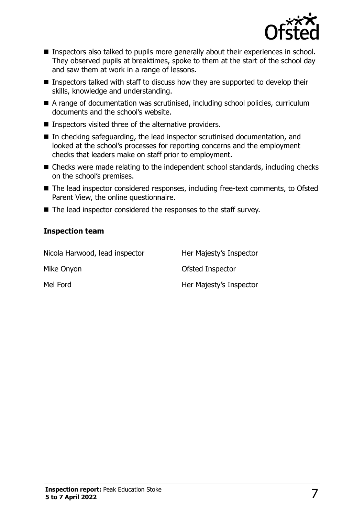

- **Inspectors also talked to pupils more generally about their experiences in school.** They observed pupils at breaktimes, spoke to them at the start of the school day and saw them at work in a range of lessons.
- **Inspectors talked with staff to discuss how they are supported to develop their** skills, knowledge and understanding.
- A range of documentation was scrutinised, including school policies, curriculum documents and the school's website.
- Inspectors visited three of the alternative providers.
- In checking safeguarding, the lead inspector scrutinised documentation, and looked at the school's processes for reporting concerns and the employment checks that leaders make on staff prior to employment.
- Checks were made relating to the independent school standards, including checks on the school's premises.
- The lead inspector considered responses, including free-text comments, to Ofsted Parent View, the online questionnaire.
- The lead inspector considered the responses to the staff survey.

#### **Inspection team**

| Nicola Harwood, lead inspector | Her Majesty's Inspector |
|--------------------------------|-------------------------|
| Mike Onyon                     | Ofsted Inspector        |
| Mel Ford                       | Her Majesty's Inspector |